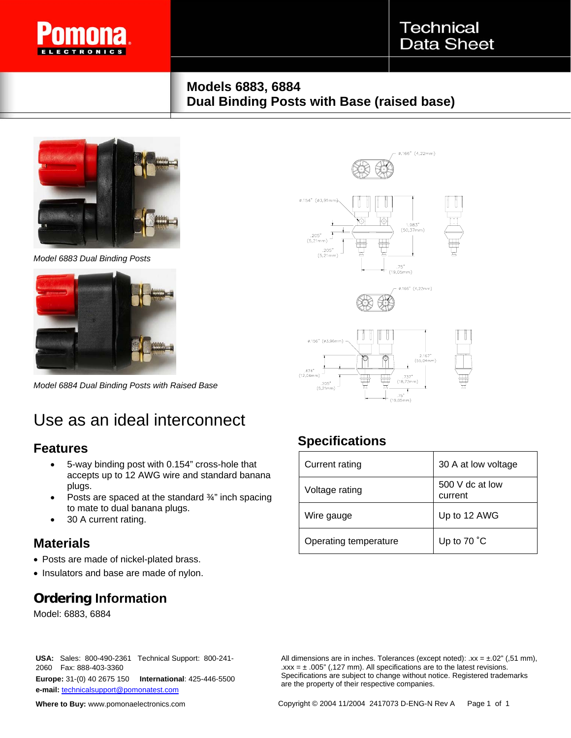

### **Models 6883, 6884 Dual Binding Posts with Base (raised base)**



*Model 6883 Dual Binding Posts* 



*Model 6884 Dual Binding Posts with Raised Base* 

# Use as an ideal interconnect

#### **Features**

- 5-way binding post with 0.154" cross-hole that accepts up to 12 AWG wire and standard banana plugs.
- Posts are spaced at the standard 3/4" inch spacing to mate to dual banana plugs.
- 30 A current rating.

#### **Materials**

- Posts are made of nickel-plated brass.
- Insulators and base are made of nylon.

### **Ordering Information**

Model: 6883, 6884



## **Specifications**

| <b>Current rating</b> | 30 A at low voltage        |
|-----------------------|----------------------------|
| Voltage rating        | 500 V dc at low<br>current |
| Wire gauge            | Up to 12 AWG               |
| Operating temperature | Up to 70 °C                |

 $.75"$ 

2060 Fax: 888-403-3360 **Europe:** 31-(0) 40 2675 150 **International**: 425-446-5500 **e-mail:** technicalsupport@pomonatest.com

**Where to Buy:** www.pomonaelectronics.com

**USA:** Sales:800-490-2361 Technical Support: 800-241- All dimensions are in inches. Tolerances (except noted): .xx = ±.02" (,51 mm),  $\text{.xxx} = \pm .005$ " (,127 mm). All specifications are to the latest revisions. Specifications are subject to change without notice. Registered trademarks are the property of their respective companies.